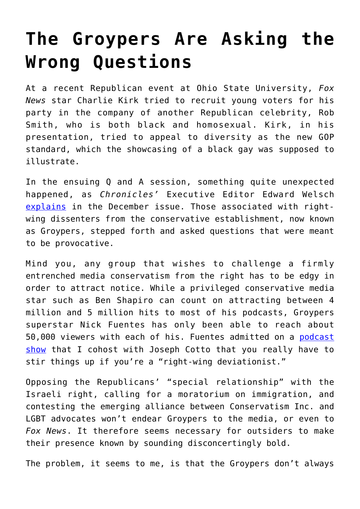## **[The Groypers Are Asking the](https://intellectualtakeout.org/2019/12/the-groypers-are-asking-the-wrong-questions/) [Wrong Questions](https://intellectualtakeout.org/2019/12/the-groypers-are-asking-the-wrong-questions/)**

At a recent Republican event at Ohio State University, *Fox News* star Charlie Kirk tried to recruit young voters for his party in the company of another Republican celebrity, Rob Smith, who is both black and homosexual. Kirk, in his presentation, tried to appeal to diversity as the new GOP standard, which the showcasing of a black gay was supposed to illustrate.

In the ensuing Q and A session, something quite unexpected happened, as *Chronicles'* Executive Editor Edward Welsch [explains](https://www.chroniclesmagazine.org/2019/December/43/12/magazine/article/10847262/) in the December issue. Those associated with rightwing dissenters from the conservative establishment, now known as Groypers, stepped forth and asked questions that were meant to be provocative.

Mind you, any group that wishes to challenge a firmly entrenched media conservatism from the right has to be edgy in order to attract notice. While a privileged conservative media star such as Ben Shapiro can count on attracting between 4 million and 5 million hits to most of his podcasts, Groypers superstar Nick Fuentes has only been able to reach about 50,000 viewers with each of his. Fuentes admitted on a [podcast](https://www.youtube.com/channel/UC-Pa5w_YWKYQPq-9Haak9gg) [show](https://www.youtube.com/channel/UC-Pa5w_YWKYQPq-9Haak9gg) that I cohost with Joseph Cotto that you really have to stir things up if you're a "right-wing deviationist."

Opposing the Republicans' "special relationship" with the Israeli right, calling for a moratorium on immigration, and contesting the emerging alliance between Conservatism Inc. and LGBT advocates won't endear Groypers to the media, or even to *Fox News*. It therefore seems necessary for outsiders to make their presence known by sounding disconcertingly bold.

The problem, it seems to me, is that the Groypers don't always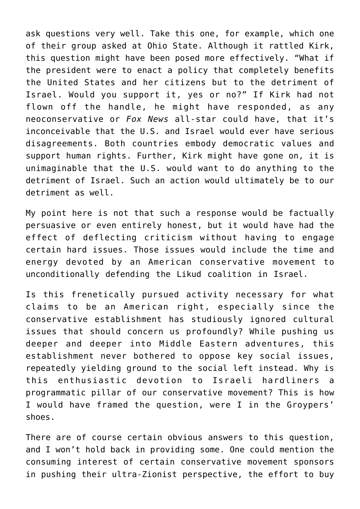ask questions very well. Take this one, for example, which one of their group asked at Ohio State. Although it rattled Kirk, this question might have been posed more effectively. "What if the president were to enact a policy that completely benefits the United States and her citizens but to the detriment of Israel. Would you support it, yes or no?" If Kirk had not flown off the handle, he might have responded, as any neoconservative or *Fox News* all-star could have, that it's inconceivable that the U.S. and Israel would ever have serious disagreements. Both countries embody democratic values and support human rights. Further, Kirk might have gone on, it is unimaginable that the U.S. would want to do anything to the detriment of Israel. Such an action would ultimately be to our detriment as well.

My point here is not that such a response would be factually persuasive or even entirely honest, but it would have had the effect of deflecting criticism without having to engage certain hard issues. Those issues would include the time and energy devoted by an American conservative movement to unconditionally defending the Likud coalition in Israel.

Is this frenetically pursued activity necessary for what claims to be an American right, especially since the conservative establishment has studiously ignored cultural issues that should concern us profoundly? While pushing us deeper and deeper into Middle Eastern adventures, this establishment never bothered to oppose key social issues, repeatedly yielding ground to the social left instead. Why is this enthusiastic devotion to Israeli hardliners a programmatic pillar of our conservative movement? This is how I would have framed the question, were I in the Groypers' shoes.

There are of course certain obvious answers to this question, and I won't hold back in providing some. One could mention the consuming interest of certain conservative movement sponsors in pushing their ultra-Zionist perspective, the effort to buy